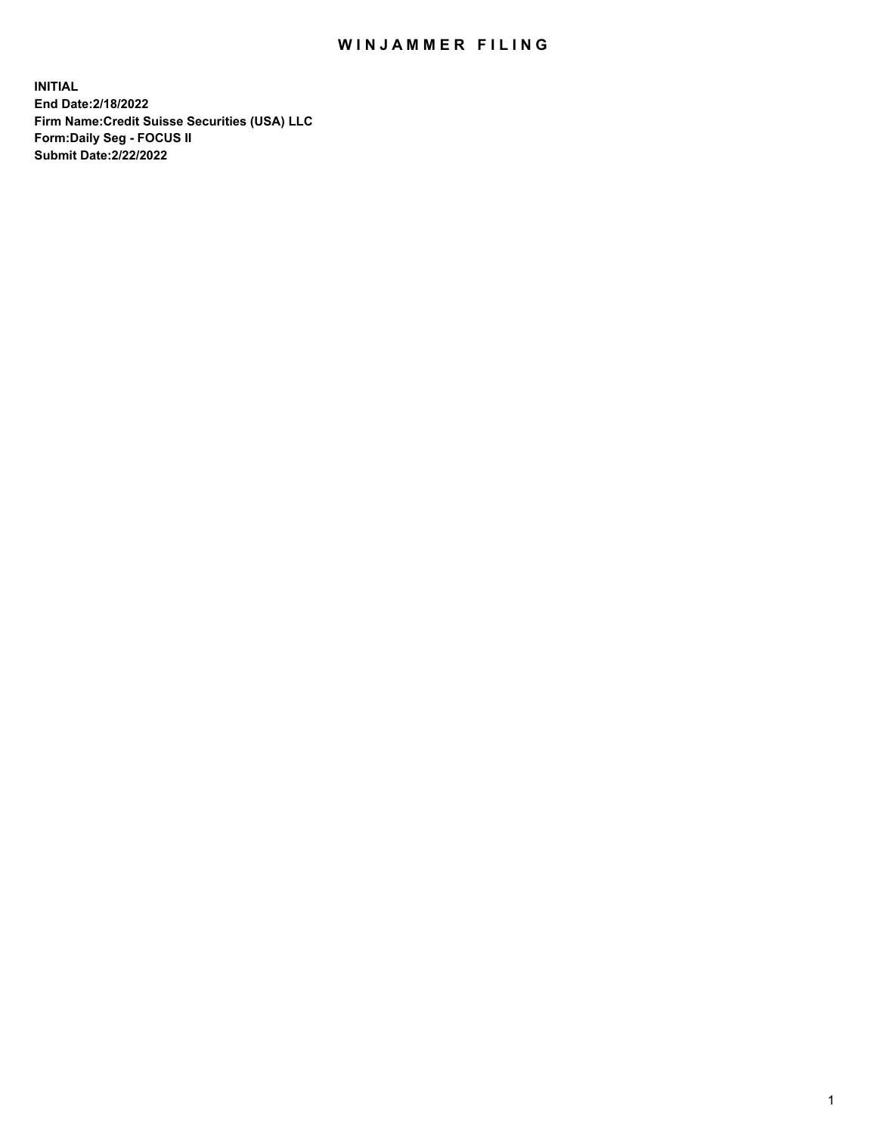## WIN JAMMER FILING

**INITIAL End Date:2/18/2022 Firm Name:Credit Suisse Securities (USA) LLC Form:Daily Seg - FOCUS II Submit Date:2/22/2022**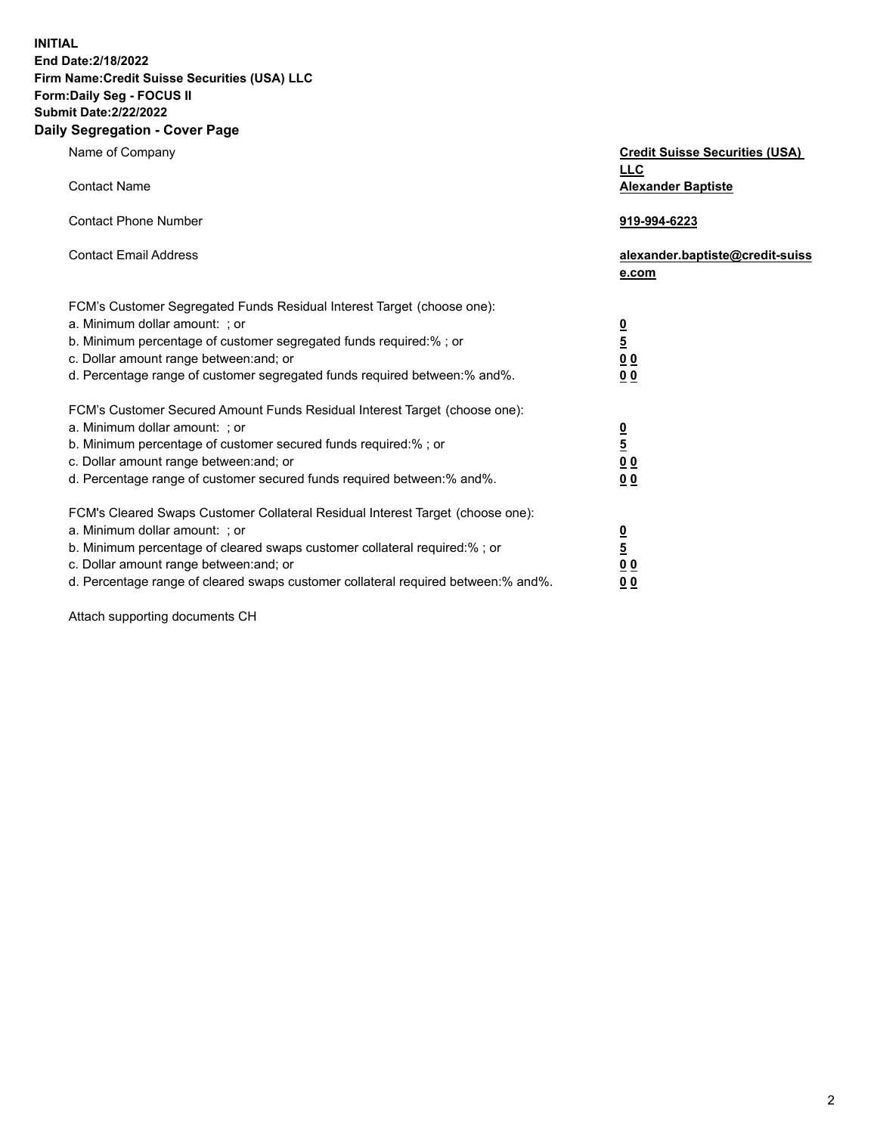**INITIAL** 

## **End Date:2/18/2022 Firm Name:Credit Suisse Securities (USA) LLC Form:Daily Seg - FOCUS II Submit Date:2/22/2022**

## **Daily Segregation - Cover Page**

| Name of Company<br><b>Contact Name</b>                                                                                                                                                                                                                                                                                         | <b>Credit Suisse Securities (USA)</b><br><b>LLC</b><br><b>Alexander Baptiste</b> |
|--------------------------------------------------------------------------------------------------------------------------------------------------------------------------------------------------------------------------------------------------------------------------------------------------------------------------------|----------------------------------------------------------------------------------|
| <b>Contact Phone Number</b>                                                                                                                                                                                                                                                                                                    | 919-994-6223                                                                     |
| <b>Contact Email Address</b>                                                                                                                                                                                                                                                                                                   | alexander.baptiste@credit-suiss<br>e.com                                         |
| FCM's Customer Segregated Funds Residual Interest Target (choose one):<br>a. Minimum dollar amount: ; or<br>b. Minimum percentage of customer segregated funds required:% ; or<br>c. Dollar amount range between: and; or<br>d. Percentage range of customer segregated funds required between: % and %.                       | $\frac{\frac{0}{5}}{\frac{0}{0}}$<br>0 <sub>0</sub>                              |
| FCM's Customer Secured Amount Funds Residual Interest Target (choose one):<br>a. Minimum dollar amount: ; or<br>b. Minimum percentage of customer secured funds required:%; or<br>c. Dollar amount range between: and; or<br>d. Percentage range of customer secured funds required between:% and%.                            | $\frac{0}{5}$<br>0 <sub>0</sub><br>0 <sub>0</sub>                                |
| FCM's Cleared Swaps Customer Collateral Residual Interest Target (choose one):<br>a. Minimum dollar amount: ; or<br>b. Minimum percentage of cleared swaps customer collateral required:% ; or<br>c. Dollar amount range between: and; or<br>d. Percentage range of cleared swaps customer collateral required between:% and%. | $\overline{\mathbf{0}}$<br>$\overline{5}$<br>0 <sub>0</sub><br>00                |

Attach supporting documents CH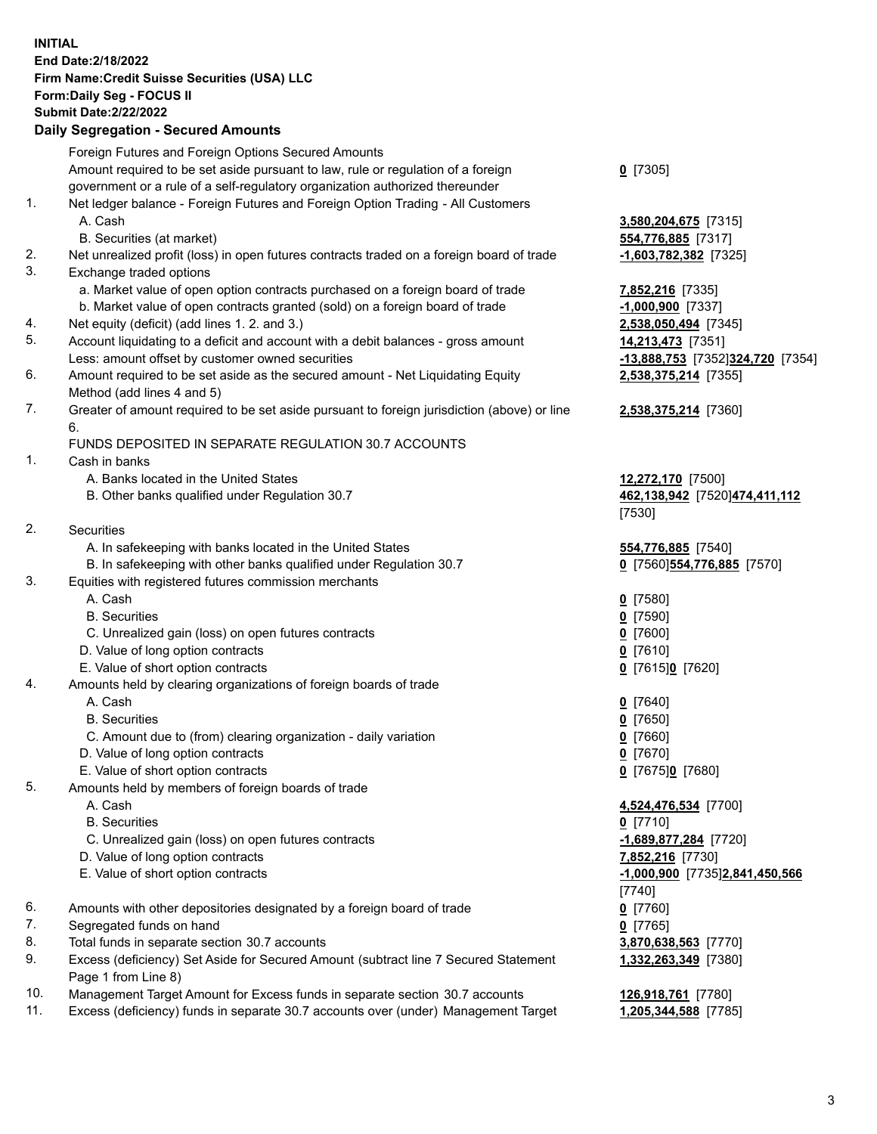**INITIAL End Date:2/18/2022 Firm Name:Credit Suisse Securities (USA) LLC Form:Daily Seg - FOCUS II Submit Date:2/22/2022** 

## **Daily Segregation - Secured Amounts**

|          | Foreign Futures and Foreign Options Secured Amounts                                                                                  |                                  |
|----------|--------------------------------------------------------------------------------------------------------------------------------------|----------------------------------|
|          | Amount required to be set aside pursuant to law, rule or regulation of a foreign                                                     | $0$ [7305]                       |
|          | government or a rule of a self-regulatory organization authorized thereunder                                                         |                                  |
| 1.       | Net ledger balance - Foreign Futures and Foreign Option Trading - All Customers                                                      |                                  |
|          | A. Cash                                                                                                                              | 3,580,204,675 [7315]             |
| 2.       | B. Securities (at market)<br>Net unrealized profit (loss) in open futures contracts traded on a foreign board of trade               | 554,776,885 [7317]               |
| 3.       | Exchange traded options                                                                                                              | $-1,603,782,382$ [7325]          |
|          | a. Market value of open option contracts purchased on a foreign board of trade                                                       | 7,852,216 [7335]                 |
|          | b. Market value of open contracts granted (sold) on a foreign board of trade                                                         | $-1,000,900$ [7337]              |
| 4.       | Net equity (deficit) (add lines 1. 2. and 3.)                                                                                        | 2,538,050,494 [7345]             |
| 5.       | Account liquidating to a deficit and account with a debit balances - gross amount                                                    | 14,213,473 [7351]                |
|          | Less: amount offset by customer owned securities                                                                                     | -13,888,753 [7352]324,720 [7354] |
| 6.       | Amount required to be set aside as the secured amount - Net Liquidating Equity                                                       | 2,538,375,214 [7355]             |
|          | Method (add lines 4 and 5)                                                                                                           |                                  |
| 7.       | Greater of amount required to be set aside pursuant to foreign jurisdiction (above) or line                                          | 2,538,375,214 [7360]             |
|          | 6.                                                                                                                                   |                                  |
|          | FUNDS DEPOSITED IN SEPARATE REGULATION 30.7 ACCOUNTS                                                                                 |                                  |
| 1.       | Cash in banks                                                                                                                        |                                  |
|          | A. Banks located in the United States                                                                                                | 12,272,170 [7500]                |
|          | B. Other banks qualified under Regulation 30.7                                                                                       | 462,138,942 [7520]474,411,112    |
|          |                                                                                                                                      | [7530]                           |
| 2.       | <b>Securities</b>                                                                                                                    |                                  |
|          | A. In safekeeping with banks located in the United States                                                                            | 554,776,885 [7540]               |
|          | B. In safekeeping with other banks qualified under Regulation 30.7                                                                   | 0 [7560]554,776,885 [7570]       |
| 3.       | Equities with registered futures commission merchants                                                                                |                                  |
|          | A. Cash                                                                                                                              | $0$ [7580]                       |
|          | <b>B.</b> Securities                                                                                                                 | $0$ [7590]                       |
|          | C. Unrealized gain (loss) on open futures contracts                                                                                  | $0$ [7600]                       |
|          | D. Value of long option contracts                                                                                                    | $0$ [7610]                       |
|          | E. Value of short option contracts                                                                                                   | 0 [7615]0 [7620]                 |
| 4.       | Amounts held by clearing organizations of foreign boards of trade                                                                    |                                  |
|          | A. Cash                                                                                                                              | $0$ [7640]                       |
|          | <b>B.</b> Securities                                                                                                                 | $0$ [7650]                       |
|          | C. Amount due to (from) clearing organization - daily variation                                                                      | $0$ [7660]                       |
|          | D. Value of long option contracts                                                                                                    | $0$ [7670]                       |
|          | E. Value of short option contracts                                                                                                   | 0 [7675]0 [7680]                 |
| 5.       | Amounts held by members of foreign boards of trade                                                                                   |                                  |
|          | A. Cash                                                                                                                              | 4,524,476,534 [7700]             |
|          | <b>B.</b> Securities                                                                                                                 | $0$ [7710]                       |
|          | C. Unrealized gain (loss) on open futures contracts                                                                                  | -1,689,877,284 [7720]            |
|          | D. Value of long option contracts                                                                                                    | 7,852,216 [7730]                 |
|          | E. Value of short option contracts                                                                                                   | -1,000,900 [7735]2,841,450,566   |
|          |                                                                                                                                      | [7740]                           |
| 6.       | Amounts with other depositories designated by a foreign board of trade                                                               | $0$ [7760]                       |
| 7.<br>8. | Segregated funds on hand                                                                                                             | $0$ [7765]                       |
| 9.       | Total funds in separate section 30.7 accounts<br>Excess (deficiency) Set Aside for Secured Amount (subtract line 7 Secured Statement | 3,870,638,563 [7770]             |
|          | Page 1 from Line 8)                                                                                                                  | 1,332,263,349 [7380]             |
| 10.      | Management Target Amount for Excess funds in separate section 30.7 accounts                                                          | 126,918,761 [7780]               |
| 11.      | Excess (deficiency) funds in separate 30.7 accounts over (under) Management Target                                                   | 1,205,344,588 [7785]             |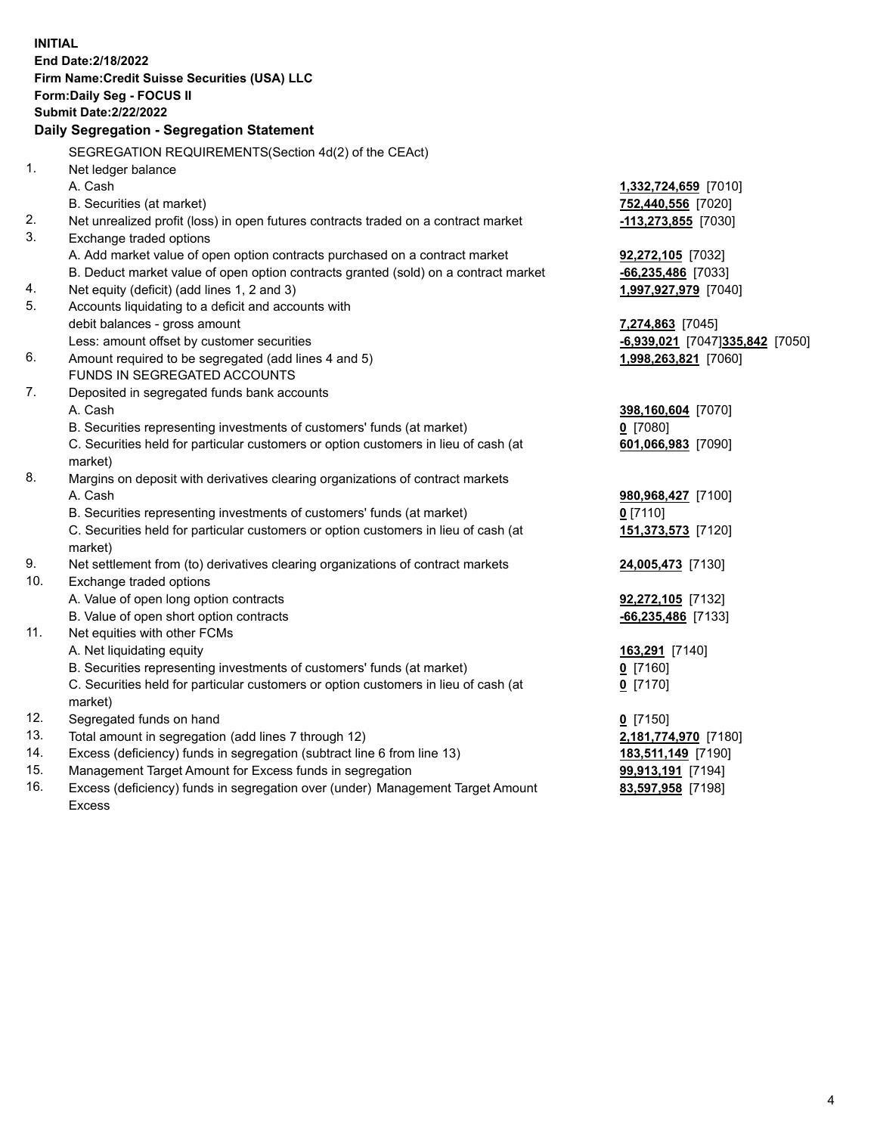| <b>INITIAL</b> | End Date: 2/18/2022<br>Firm Name: Credit Suisse Securities (USA) LLC<br>Form: Daily Seg - FOCUS II |                                           |
|----------------|----------------------------------------------------------------------------------------------------|-------------------------------------------|
|                | <b>Submit Date:2/22/2022</b>                                                                       |                                           |
|                | Daily Segregation - Segregation Statement                                                          |                                           |
|                | SEGREGATION REQUIREMENTS(Section 4d(2) of the CEAct)                                               |                                           |
| 1.             | Net ledger balance                                                                                 |                                           |
|                | A. Cash                                                                                            | 1,332,724,659 [7010]                      |
|                | B. Securities (at market)                                                                          | 752,440,556 [7020]                        |
| 2.             | Net unrealized profit (loss) in open futures contracts traded on a contract market                 | <u>-113,273,855</u> [7030]                |
| 3.             | Exchange traded options                                                                            |                                           |
|                | A. Add market value of open option contracts purchased on a contract market                        | 92,272,105 [7032]                         |
|                | B. Deduct market value of open option contracts granted (sold) on a contract market                | $-66, 235, 486$ [7033]                    |
| 4.             | Net equity (deficit) (add lines 1, 2 and 3)                                                        | 1,997,927,979 [7040]                      |
| 5.             | Accounts liquidating to a deficit and accounts with                                                |                                           |
|                | debit balances - gross amount                                                                      | 7,274,863 [7045]                          |
|                | Less: amount offset by customer securities                                                         | $-6,939,021$ [7047]335,842 [7050]         |
| 6.             | Amount required to be segregated (add lines 4 and 5)                                               | 1,998,263,821 [7060]                      |
|                | FUNDS IN SEGREGATED ACCOUNTS                                                                       |                                           |
| 7.             | Deposited in segregated funds bank accounts                                                        |                                           |
|                | A. Cash                                                                                            | 398,160,604 [7070]                        |
|                | B. Securities representing investments of customers' funds (at market)                             | $0$ [7080]                                |
|                | C. Securities held for particular customers or option customers in lieu of cash (at                | 601,066,983 [7090]                        |
|                | market)                                                                                            |                                           |
| 8.             | Margins on deposit with derivatives clearing organizations of contract markets                     |                                           |
|                | A. Cash                                                                                            | 980,968,427 [7100]                        |
|                | B. Securities representing investments of customers' funds (at market)                             | $0$ [7110]                                |
|                | C. Securities held for particular customers or option customers in lieu of cash (at                | 151,373,573 [7120]                        |
| 9.             | market)                                                                                            |                                           |
| 10.            | Net settlement from (to) derivatives clearing organizations of contract markets                    | 24,005,473 [7130]                         |
|                | Exchange traded options<br>A. Value of open long option contracts                                  |                                           |
|                | B. Value of open short option contracts                                                            | 92,272,105 [7132]<br>$-66,235,486$ [7133] |
| 11.            | Net equities with other FCMs                                                                       |                                           |
|                | A. Net liquidating equity                                                                          | 163,291 [7140]                            |
|                | B. Securities representing investments of customers' funds (at market)                             | $0$ [7160]                                |
|                | C. Securities held for particular customers or option customers in lieu of cash (at                | $0$ [7170]                                |
|                | market)                                                                                            |                                           |
| 12.            | Segregated funds on hand                                                                           | $0$ [7150]                                |
| 13.            | Total amount in segregation (add lines 7 through 12)                                               | 2,181,774,970 [7180]                      |
| 14.            | Excess (deficiency) funds in segregation (subtract line 6 from line 13)                            | 183,511,149 [7190]                        |
| 15.            | Management Target Amount for Excess funds in segregation                                           | 99,913,191 [7194]                         |
| 16.            | Excess (deficiency) funds in segregation over (under) Management Target Amount                     | 83,597,958 [7198]                         |
|                | <b>Excess</b>                                                                                      |                                           |